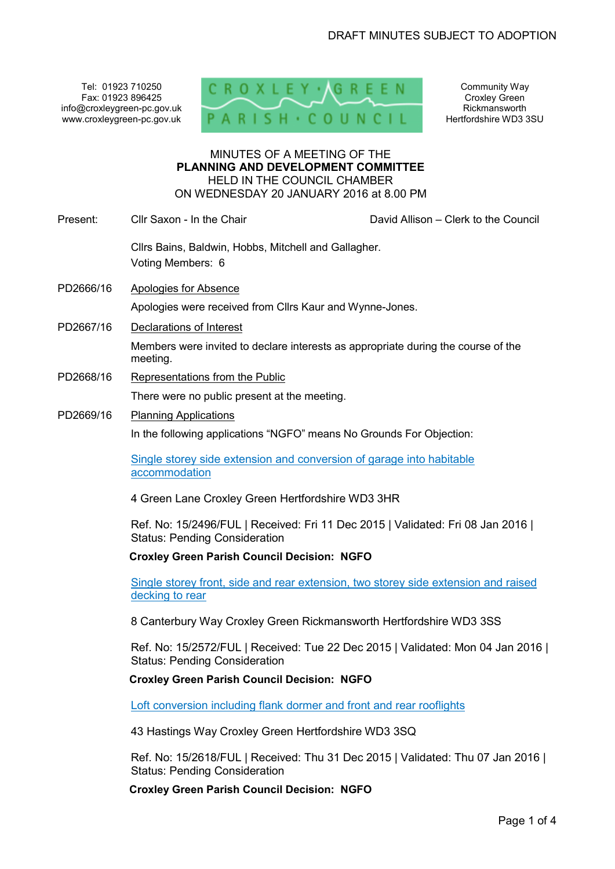Tel: 01923 710250 Fax: 01923 896425 info@croxleygreen-pc.gov.uk www.croxleygreen-pc.gov.uk



Community Way Croxley Green Rickmansworth Hertfordshire WD3 3SU

#### MINUTES OF A MEETING OF THE **PLANNING AND DEVELOPMENT COMMITTEE** HELD IN THE COUNCIL CHAMBER ON WEDNESDAY 20 JANUARY 2016 at 8.00 PM

Present: Cllr Saxon - In the Chair Chair Chair David Allison – Clerk to the Council Cllrs Bains, Baldwin, Hobbs, Mitchell and Gallagher. Voting Members: 6 PD2666/16 Apologies for Absence Apologies were received from Cllrs Kaur and Wynne-Jones. PD2667/16 Declarations of Interest Members were invited to declare interests as appropriate during the course of the meeting. PD2668/16 Representations from the Public There were no public present at the meeting. PD2669/16 Planning Applications In the following applications "NGFO" means No Grounds For Objection: Single storey side extension and conversion of garage into habitable accommodation 4 Green Lane Croxley Green Hertfordshire WD3 3HR Ref. No: 15/2496/FUL | Received: Fri 11 Dec 2015 | Validated: Fri 08 Jan 2016 | Status: Pending Consideration **Croxley Green Parish Council Decision: NGFO** 

> Single storey front, side and rear extension, two storey side extension and raised decking to rear

8 Canterbury Way Croxley Green Rickmansworth Hertfordshire WD3 3SS

Ref. No: 15/2572/FUL | Received: Tue 22 Dec 2015 | Validated: Mon 04 Jan 2016 | Status: Pending Consideration

### **Croxley Green Parish Council Decision: NGFO**

Loft conversion including flank dormer and front and rear rooflights

43 Hastings Way Croxley Green Hertfordshire WD3 3SQ

Ref. No: 15/2618/FUL | Received: Thu 31 Dec 2015 | Validated: Thu 07 Jan 2016 | Status: Pending Consideration

**Croxley Green Parish Council Decision: NGFO**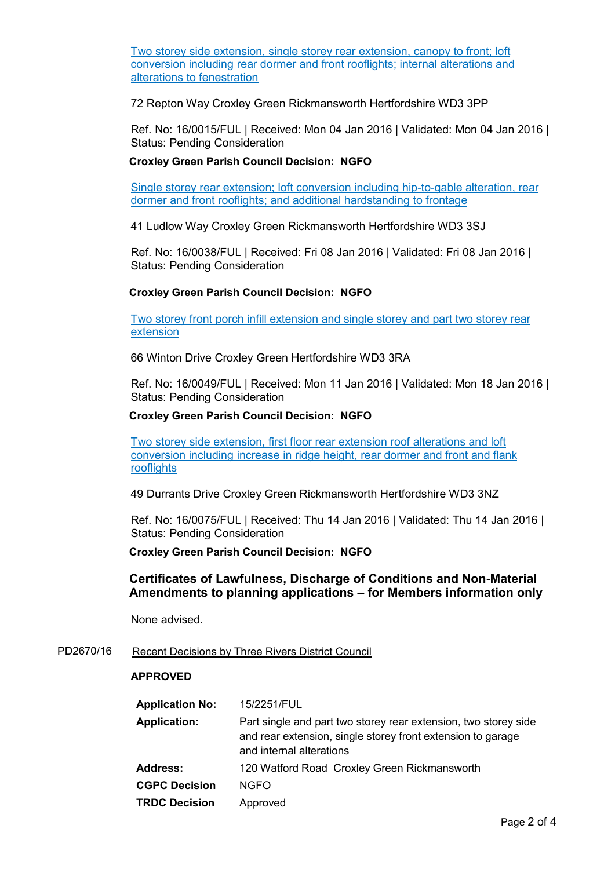Two storey side extension, single storey rear extension, canopy to front; loft conversion including rear dormer and front rooflights; internal alterations and alterations to fenestration

72 Repton Way Croxley Green Rickmansworth Hertfordshire WD3 3PP

Ref. No: 16/0015/FUL | Received: Mon 04 Jan 2016 | Validated: Mon 04 Jan 2016 | Status: Pending Consideration

# **Croxley Green Parish Council Decision: NGFO**

Single storey rear extension; loft conversion including hip-to-gable alteration, rear dormer and front rooflights; and additional hardstanding to frontage

41 Ludlow Way Croxley Green Rickmansworth Hertfordshire WD3 3SJ

Ref. No: 16/0038/FUL | Received: Fri 08 Jan 2016 | Validated: Fri 08 Jan 2016 | Status: Pending Consideration

## **Croxley Green Parish Council Decision: NGFO**

Two storey front porch infill extension and single storey and part two storey rear extension

66 Winton Drive Croxley Green Hertfordshire WD3 3RA

Ref. No: 16/0049/FUL | Received: Mon 11 Jan 2016 | Validated: Mon 18 Jan 2016 | Status: Pending Consideration

## **Croxley Green Parish Council Decision: NGFO**

Two storey side extension, first floor rear extension roof alterations and loft conversion including increase in ridge height, rear dormer and front and flank **rooflights** 

49 Durrants Drive Croxley Green Rickmansworth Hertfordshire WD3 3NZ

Ref. No: 16/0075/FUL | Received: Thu 14 Jan 2016 | Validated: Thu 14 Jan 2016 | Status: Pending Consideration

**Croxley Green Parish Council Decision: NGFO** 

# **Certificates of Lawfulness, Discharge of Conditions and Non-Material Amendments to planning applications – for Members information only**

None advised.

PD2670/16 Recent Decisions by Three Rivers District Council

### **APPROVED**

| <b>Application No:</b> | 15/2251/FUL                                                                                                                                                |
|------------------------|------------------------------------------------------------------------------------------------------------------------------------------------------------|
| <b>Application:</b>    | Part single and part two storey rear extension, two storey side<br>and rear extension, single storey front extension to garage<br>and internal alterations |
| Address:               | 120 Watford Road Croxley Green Rickmansworth                                                                                                               |
| <b>CGPC Decision</b>   | <b>NGFO</b>                                                                                                                                                |
| <b>TRDC Decision</b>   | Approved                                                                                                                                                   |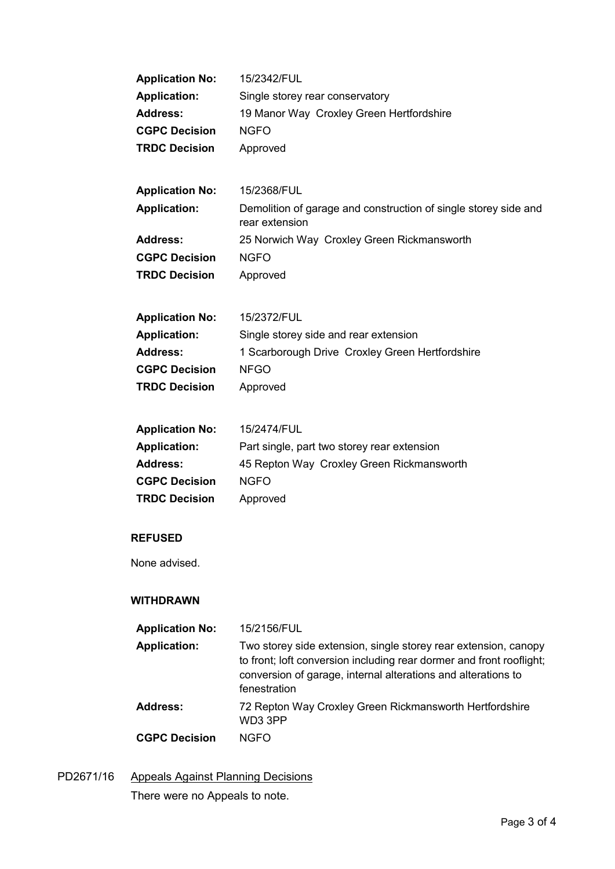| <b>Application No:</b> | 15/2342/FUL                                                                       |
|------------------------|-----------------------------------------------------------------------------------|
| <b>Application:</b>    | Single storey rear conservatory                                                   |
| <b>Address:</b>        | 19 Manor Way Croxley Green Hertfordshire                                          |
| <b>CGPC Decision</b>   | <b>NGFO</b>                                                                       |
| <b>TRDC Decision</b>   | Approved                                                                          |
|                        |                                                                                   |
| <b>Application No:</b> | 15/2368/FUL                                                                       |
| <b>Application:</b>    | Demolition of garage and construction of single storey side and<br>rear extension |
| <b>Address:</b>        | 25 Norwich Way Croxley Green Rickmansworth                                        |
| <b>CGPC Decision</b>   | <b>NGFO</b>                                                                       |
| <b>TRDC Decision</b>   | Approved                                                                          |
|                        |                                                                                   |
| <b>Application No:</b> | 15/2372/FUL                                                                       |
| <b>Application:</b>    | Single storey side and rear extension                                             |
| <b>Address:</b>        | 1 Scarborough Drive Croxley Green Hertfordshire                                   |
| <b>CGPC Decision</b>   | <b>NFGO</b>                                                                       |
| <b>TRDC Decision</b>   | Approved                                                                          |
|                        |                                                                                   |
| <b>Application No:</b> | 15/2474/FUL                                                                       |
| <b>Application:</b>    | Part single, part two storey rear extension                                       |
| <b>Address:</b>        | 45 Repton Way Croxley Green Rickmansworth                                         |
| <b>CGPC Decision</b>   | <b>NGFO</b>                                                                       |
| <b>TRDC Decision</b>   | Approved                                                                          |
|                        |                                                                                   |
| <b>REFUSED</b>         |                                                                                   |
| None advised.          |                                                                                   |
|                        |                                                                                   |
| <b>WITHDRAWN</b>       |                                                                                   |
| <b>Application No:</b> | 15/2156/FUL                                                                       |
| <b>Application:</b>    | Two storey side extension, single storey rear extension, canopy                   |
|                        | to front; loft conversion including rear dormer and front rooflight;              |
|                        | conversion of garage, internal alterations and alterations to<br>fenestration     |
| <b>Address:</b>        | 72 Repton Way Croxley Green Rickmansworth Hertfordshire                           |
|                        | WD3 3PP                                                                           |
| <b>CGPC Decision</b>   | <b>NGFO</b>                                                                       |
|                        |                                                                                   |

PD2671/16 Appeals Against Planning Decisions There were no Appeals to note.